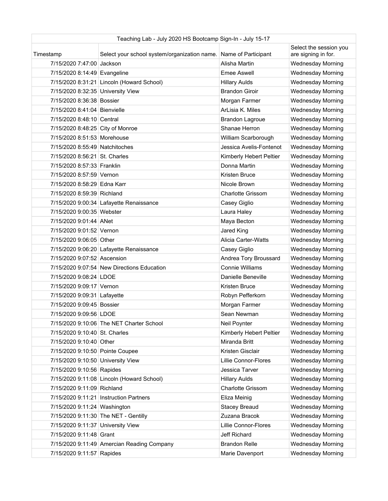| Teaching Lab - July 2020 HS Bootcamp Sign-In - July 15-17 |                                              |                          |                                               |
|-----------------------------------------------------------|----------------------------------------------|--------------------------|-----------------------------------------------|
| Timestamp                                                 | Select your school system/organization name. | Name of Participant      | Select the session you<br>are signing in for. |
| 7/15/2020 7:47:00 Jackson                                 |                                              | Alisha Martin            | <b>Wednesday Morning</b>                      |
| 7/15/2020 8:14:49 Evangeline                              |                                              | Emee Aswell              | <b>Wednesday Morning</b>                      |
|                                                           | 7/15/2020 8:31:21 Lincoln (Howard School)    | <b>Hillary Aulds</b>     | <b>Wednesday Morning</b>                      |
| 7/15/2020 8:32:35 University View                         |                                              | <b>Brandon Giroir</b>    | <b>Wednesday Morning</b>                      |
| 7/15/2020 8:36:38 Bossier                                 |                                              | Morgan Farmer            | <b>Wednesday Morning</b>                      |
| 7/15/2020 8:41:04 Bienvielle                              |                                              | ArLisia K. Miles         | Wednesday Morning                             |
| 7/15/2020 8:48:10 Central                                 |                                              | Brandon Lagroue          | <b>Wednesday Morning</b>                      |
| 7/15/2020 8:48:25 City of Monroe                          |                                              | Shanae Herron            | <b>Wednesday Morning</b>                      |
| 7/15/2020 8:51:53 Morehouse                               |                                              | William Scarborough      | <b>Wednesday Morning</b>                      |
| 7/15/2020 8:55:49 Natchitoches                            |                                              | Jessica Avelis-Fontenot  | <b>Wednesday Morning</b>                      |
| 7/15/2020 8:56:21 St. Charles                             |                                              | Kimberly Hebert Peltier  | <b>Wednesday Morning</b>                      |
| 7/15/2020 8:57:33 Franklin                                |                                              | Donna Martin             | <b>Wednesday Morning</b>                      |
| 7/15/2020 8:57:59 Vernon                                  |                                              | Kristen Bruce            | <b>Wednesday Morning</b>                      |
| 7/15/2020 8:58:29 Edna Karr                               |                                              | Nicole Brown             | <b>Wednesday Morning</b>                      |
| 7/15/2020 8:59:39 Richland                                |                                              | <b>Charlotte Grissom</b> | Wednesday Morning                             |
|                                                           | 7/15/2020 9:00:34 Lafayette Renaissance      | Casey Giglio             | <b>Wednesday Morning</b>                      |
| 7/15/2020 9:00:35 Webster                                 |                                              | Laura Haley              | <b>Wednesday Morning</b>                      |
| 7/15/2020 9:01:44 ANet                                    |                                              | Maya Becton              | <b>Wednesday Morning</b>                      |
| 7/15/2020 9:01:52 Vernon                                  |                                              | Jared King               | <b>Wednesday Morning</b>                      |
| 7/15/2020 9:06:05 Other                                   |                                              | Alicia Carter-Watts      | <b>Wednesday Morning</b>                      |
|                                                           | 7/15/2020 9:06:20 Lafayette Renaissance      | Casey Giglio             | <b>Wednesday Morning</b>                      |
| 7/15/2020 9:07:52 Ascension                               |                                              | Andrea Tory Broussard    | <b>Wednesday Morning</b>                      |
|                                                           | 7/15/2020 9:07:54 New Directions Education   | <b>Connie Williams</b>   | <b>Wednesday Morning</b>                      |
| 7/15/2020 9:08:24 LDOE                                    |                                              | Danielle Beneville       | <b>Wednesday Morning</b>                      |
| 7/15/2020 9:09:17 Vernon                                  |                                              | Kristen Bruce            | <b>Wednesday Morning</b>                      |
| 7/15/2020 9:09:31 Lafayette                               |                                              | Robyn Pefferkorn         | <b>Wednesday Morning</b>                      |
| 7/15/2020 9:09:45 Bossier                                 |                                              | Morgan Farmer            | <b>Wednesday Morning</b>                      |
| 7/15/2020 9:09:56 LDOE                                    |                                              | Sean Newman              | <b>Wednesday Morning</b>                      |
|                                                           | 7/15/2020 9:10:06 The NET Charter School     | Neil Poynter             | <b>Wednesday Morning</b>                      |
| 7/15/2020 9:10:40 St. Charles                             |                                              | Kimberly Hebert Peltier  | <b>Wednesday Morning</b>                      |
| 7/15/2020 9:10:40 Other                                   |                                              | Miranda Britt            | <b>Wednesday Morning</b>                      |
| 7/15/2020 9:10:50 Pointe Coupee                           |                                              | Kristen Gisclair         | <b>Wednesday Morning</b>                      |
| 7/15/2020 9:10:50 University View                         |                                              | Lillie Connor-Flores     | <b>Wednesday Morning</b>                      |
| 7/15/2020 9:10:56 Rapides                                 |                                              | Jessica Tarver           | <b>Wednesday Morning</b>                      |
|                                                           | 7/15/2020 9:11:08 Lincoln (Howard School)    | <b>Hillary Aulds</b>     | <b>Wednesday Morning</b>                      |
| 7/15/2020 9:11:09 Richland                                |                                              | <b>Charlotte Grissom</b> | <b>Wednesday Morning</b>                      |
|                                                           | 7/15/2020 9:11:21 Instruction Partners       | Eliza Meinig             | <b>Wednesday Morning</b>                      |
| 7/15/2020 9:11:24 Washington                              |                                              | <b>Stacey Breaud</b>     | <b>Wednesday Morning</b>                      |
|                                                           | 7/15/2020 9:11:30 The NET - Gentilly         | Zuzana Bracok            | <b>Wednesday Morning</b>                      |
| 7/15/2020 9:11:37 University View                         |                                              | Lillie Connor-Flores     | <b>Wednesday Morning</b>                      |
| 7/15/2020 9:11:48 Grant                                   |                                              | Jeff Richard             | <b>Wednesday Morning</b>                      |
|                                                           | 7/15/2020 9:11:49 Amercian Reading Company   | <b>Brandon Relle</b>     | <b>Wednesday Morning</b>                      |
| 7/15/2020 9:11:57 Rapides                                 |                                              | Marie Davenport          | <b>Wednesday Morning</b>                      |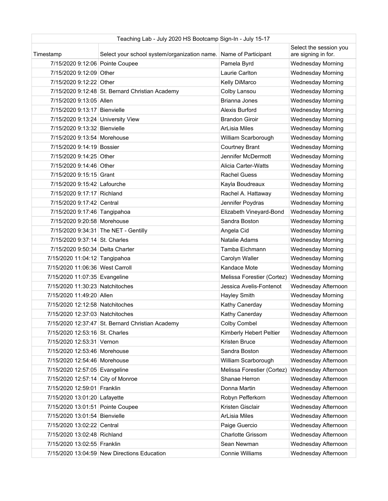| Teaching Lab - July 2020 HS Bootcamp Sign-In - July 15-17 |                                                                  |                            |                                               |
|-----------------------------------------------------------|------------------------------------------------------------------|----------------------------|-----------------------------------------------|
| Timestamp                                                 | Select your school system/organization name. Name of Participant |                            | Select the session you<br>are signing in for. |
| 7/15/2020 9:12:06 Pointe Coupee                           |                                                                  | Pamela Byrd                | <b>Wednesday Morning</b>                      |
| 7/15/2020 9:12:09 Other                                   |                                                                  | Laurie Carlton             | <b>Wednesday Morning</b>                      |
| 7/15/2020 9:12:22 Other                                   |                                                                  | Kelly DiMarco              | <b>Wednesday Morning</b>                      |
|                                                           | 7/15/2020 9:12:48 St. Bernard Christian Academy                  | Colby Lansou               | <b>Wednesday Morning</b>                      |
| 7/15/2020 9:13:05 Allen                                   |                                                                  | Brianna Jones              | <b>Wednesday Morning</b>                      |
| 7/15/2020 9:13:17 Bienvielle                              |                                                                  | Alexis Burford             | Wednesday Morning                             |
| 7/15/2020 9:13:24 University View                         |                                                                  | <b>Brandon Giroir</b>      | <b>Wednesday Morning</b>                      |
| 7/15/2020 9:13:32 Bienvielle                              |                                                                  | <b>ArLisia Miles</b>       | <b>Wednesday Morning</b>                      |
| 7/15/2020 9:13:54 Morehouse                               |                                                                  | William Scarborough        | <b>Wednesday Morning</b>                      |
| 7/15/2020 9:14:19 Bossier                                 |                                                                  | <b>Courtney Brant</b>      | <b>Wednesday Morning</b>                      |
| 7/15/2020 9:14:25 Other                                   |                                                                  | Jennifer McDermott         | <b>Wednesday Morning</b>                      |
| 7/15/2020 9:14:46 Other                                   |                                                                  | Alicia Carter-Watts        | <b>Wednesday Morning</b>                      |
| 7/15/2020 9:15:15 Grant                                   |                                                                  | <b>Rachel Guess</b>        | <b>Wednesday Morning</b>                      |
| 7/15/2020 9:15:42 Lafourche                               |                                                                  | Kayla Boudreaux            | <b>Wednesday Morning</b>                      |
| 7/15/2020 9:17:17 Richland                                |                                                                  | Rachel A. Hattaway         | Wednesday Morning                             |
| 7/15/2020 9:17:42 Central                                 |                                                                  | Jennifer Poydras           | <b>Wednesday Morning</b>                      |
| 7/15/2020 9:17:46 Tangipahoa                              |                                                                  | Elizabeth Vineyard-Bond    | <b>Wednesday Morning</b>                      |
| 7/15/2020 9:20:58 Morehouse                               |                                                                  | Sandra Boston              | <b>Wednesday Morning</b>                      |
|                                                           | 7/15/2020 9:34:31 The NET - Gentilly                             | Angela Cid                 | <b>Wednesday Morning</b>                      |
| 7/15/2020 9:37:14 St. Charles                             |                                                                  | Natalie Adams              | <b>Wednesday Morning</b>                      |
| 7/15/2020 9:50:34 Delta Charter                           |                                                                  | Tamba Eichmann             | <b>Wednesday Morning</b>                      |
| 7/15/2020 11:04:12 Tangipahoa                             |                                                                  | Carolyn Waller             | <b>Wednesday Morning</b>                      |
| 7/15/2020 11:06:36 West Carroll                           |                                                                  | Kandace Mote               | <b>Wednesday Morning</b>                      |
| 7/15/2020 11:07:35 Evangeline                             |                                                                  | Melissa Forestier (Cortez) | <b>Wednesday Morning</b>                      |
| 7/15/2020 11:30:23 Natchitoches                           |                                                                  | Jessica Avelis-Fontenot    | Wednesday Afternoon                           |
| 7/15/2020 11:49:20 Allen                                  |                                                                  | Hayley Smith               | <b>Wednesday Morning</b>                      |
| 7/15/2020 12:12:58 Natchitoches                           |                                                                  | Kathy Canerday             | <b>Wednesday Morning</b>                      |
| 7/15/2020 12:37:03 Natchitoches                           |                                                                  | Kathy Canerday             | Wednesday Afternoon                           |
|                                                           | 7/15/2020 12:37:47 St. Bernard Christian Academy                 | Colby Combel               | Wednesday Afternoon                           |
| 7/15/2020 12:53:16 St. Charles                            |                                                                  | Kimberly Hebert Peltier    | Wednesday Afternoon                           |
| 7/15/2020 12:53:31 Vernon                                 |                                                                  | Kristen Bruce              | Wednesday Afternoon                           |
| 7/15/2020 12:53:46 Morehouse                              |                                                                  | Sandra Boston              | Wednesday Afternoon                           |
| 7/15/2020 12:54:46 Morehouse                              |                                                                  | William Scarborough        | Wednesday Afternoon                           |
| 7/15/2020 12:57:05 Evangeline                             |                                                                  | Melissa Forestier (Cortez) | Wednesday Afternoon                           |
| 7/15/2020 12:57:14 City of Monroe                         |                                                                  | Shanae Herron              | Wednesday Afternoon                           |
| 7/15/2020 12:59:01 Franklin                               |                                                                  | Donna Martin               | Wednesday Afternoon                           |
| 7/15/2020 13:01:20 Lafayette                              |                                                                  | Robyn Pefferkorn           | Wednesday Afternoon                           |
| 7/15/2020 13:01:51 Pointe Coupee                          |                                                                  | Kristen Gisclair           | Wednesday Afternoon                           |
| 7/15/2020 13:01:54 Bienvielle                             |                                                                  | ArLisia Miles              | Wednesday Afternoon                           |
| 7/15/2020 13:02:22 Central                                |                                                                  | Paige Guercio              | Wednesday Afternoon                           |
| 7/15/2020 13:02:48 Richland                               |                                                                  | <b>Charlotte Grissom</b>   | Wednesday Afternoon                           |
| 7/15/2020 13:02:55 Franklin                               |                                                                  | Sean Newman                | Wednesday Afternoon                           |
|                                                           | 7/15/2020 13:04:59 New Directions Education                      | Connie Williams            | Wednesday Afternoon                           |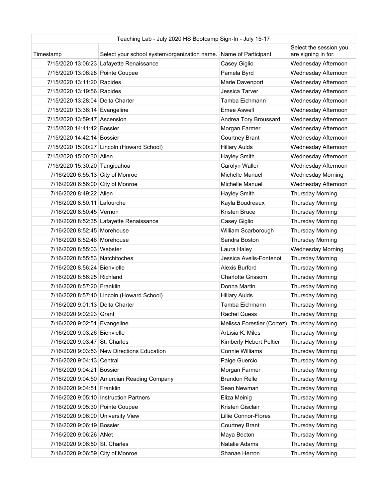| Teaching Lab - July 2020 HS Bootcamp Sign-In - July 15-17 |                                                                  |                                             |                                               |
|-----------------------------------------------------------|------------------------------------------------------------------|---------------------------------------------|-----------------------------------------------|
| Timestamp                                                 | Select your school system/organization name. Name of Participant |                                             | Select the session you<br>are signing in for. |
|                                                           | 7/15/2020 13:06:23 Lafayette Renaissance                         | Casey Giglio                                | Wednesday Afternoon                           |
| 7/15/2020 13:06:28 Pointe Coupee                          |                                                                  | Pamela Byrd                                 | Wednesday Afternoon                           |
| 7/15/2020 13:11:20 Rapides                                |                                                                  | Marie Davenport                             | Wednesday Afternoon                           |
| 7/15/2020 13:19:56 Rapides                                |                                                                  | Jessica Tarver                              | Wednesday Afternoon                           |
| 7/15/2020 13:28:04 Delta Charter                          |                                                                  | Tamba Eichmann                              | Wednesday Afternoon                           |
| 7/15/2020 13:36:14 Evangeline                             |                                                                  | Emee Aswell                                 | Wednesday Afternoon                           |
| 7/15/2020 13:59:47 Ascension                              |                                                                  | Andrea Tory Broussard                       | Wednesday Afternoon                           |
| 7/15/2020 14:41:42 Bossier                                |                                                                  | Morgan Farmer                               | Wednesday Afternoon                           |
| 7/15/2020 14:42:14 Bossier                                |                                                                  | Courtney Brant                              | Wednesday Afternoon                           |
|                                                           | 7/15/2020 15:00:27 Lincoln (Howard School)                       | <b>Hillary Aulds</b>                        | Wednesday Afternoon                           |
| 7/15/2020 15:00:30 Allen                                  |                                                                  | Hayley Smith                                | Wednesday Afternoon                           |
| 7/15/2020 15:30:20 Tangipahoa                             |                                                                  | Carolyn Waller                              | Wednesday Afternoon                           |
| 7/16/2020 6:55:13 City of Monroe                          |                                                                  | Michelle Manuel                             | <b>Wednesday Morning</b>                      |
| 7/16/2020 6:56:00 City of Monroe                          |                                                                  | Michelle Manuel                             | Wednesday Afternoon                           |
| 7/16/2020 8:49:22 Allen                                   |                                                                  | Hayley Smith                                | <b>Thursday Morning</b>                       |
| 7/16/2020 8:50:11 Lafourche                               |                                                                  | Kayla Boudreaux                             | <b>Thursday Morning</b>                       |
| 7/16/2020 8:50:45 Vernon                                  |                                                                  | Kristen Bruce                               | <b>Thursday Morning</b>                       |
|                                                           | 7/16/2020 8:52:35 Lafayette Renaissance                          | Casey Giglio                                | <b>Thursday Morning</b>                       |
| 7/16/2020 8:52:45 Morehouse                               |                                                                  | William Scarborough                         | <b>Thursday Morning</b>                       |
| 7/16/2020 8:52:46 Morehouse                               |                                                                  | Sandra Boston                               | <b>Thursday Morning</b>                       |
|                                                           |                                                                  |                                             |                                               |
| 7/16/2020 8:55:03 Webster                                 |                                                                  | Laura Haley                                 | <b>Wednesday Morning</b>                      |
| 7/16/2020 8:55:53 Natchitoches                            |                                                                  | Jessica Avelis-Fontenot                     | <b>Thursday Morning</b>                       |
| 7/16/2020 8:56:24 Bienvielle                              |                                                                  | Alexis Burford                              | <b>Thursday Morning</b>                       |
| 7/16/2020 8:56:25 Richland                                |                                                                  | <b>Charlotte Grissom</b>                    | <b>Thursday Morning</b>                       |
| 7/16/2020 8:57:20 Franklin                                |                                                                  | Donna Martin                                | <b>Thursday Morning</b>                       |
|                                                           | 7/16/2020 8:57:40 Lincoln (Howard School)                        | <b>Hillary Aulds</b>                        | <b>Thursday Morning</b>                       |
| 7/16/2020 9:01:13 Delta Charter                           |                                                                  | Tamba Eichmann                              | <b>Thursday Morning</b>                       |
| 7/16/2020 9:02:23 Grant                                   |                                                                  | <b>Rachel Guess</b>                         | <b>Thursday Morning</b>                       |
| 7/16/2020 9:02:51 Evangeline                              |                                                                  | Melissa Forestier (Cortez) Thursday Morning |                                               |
| 7/16/2020 9:03:26 Bienvielle                              |                                                                  | ArLisia K. Miles                            | <b>Thursday Morning</b>                       |
| 7/16/2020 9:03:47 St. Charles                             |                                                                  | Kimberly Hebert Peltier                     | <b>Thursday Morning</b>                       |
|                                                           | 7/16/2020 9:03:53 New Directions Education                       | Connie Williams                             | <b>Thursday Morning</b>                       |
| 7/16/2020 9:04:13 Central                                 |                                                                  | Paige Guercio                               | <b>Thursday Morning</b>                       |
| 7/16/2020 9:04:21 Bossier                                 |                                                                  | Morgan Farmer                               | <b>Thursday Morning</b>                       |
|                                                           | 7/16/2020 9:04:50 Amercian Reading Company                       | <b>Brandon Relle</b>                        | <b>Thursday Morning</b>                       |
| 7/16/2020 9:04:51 Franklin                                |                                                                  | Sean Newman                                 | Thursday Morning                              |
|                                                           | 7/16/2020 9:05:10   Instruction Partners                         | Eliza Meinig                                | <b>Thursday Morning</b>                       |
| 7/16/2020 9:05:30 Pointe Coupee                           |                                                                  | Kristen Gisclair                            | <b>Thursday Morning</b>                       |
| 7/16/2020 9:06:00 University View                         |                                                                  | Lillie Connor-Flores                        | <b>Thursday Morning</b>                       |
| 7/16/2020 9:06:19 Bossier                                 |                                                                  | Courtney Brant                              | <b>Thursday Morning</b>                       |
| 7/16/2020 9:06:26 ANet                                    |                                                                  | Maya Becton                                 | <b>Thursday Morning</b>                       |
| 7/16/2020 9:06:50 St. Charles                             |                                                                  | Natalie Adams                               | <b>Thursday Morning</b>                       |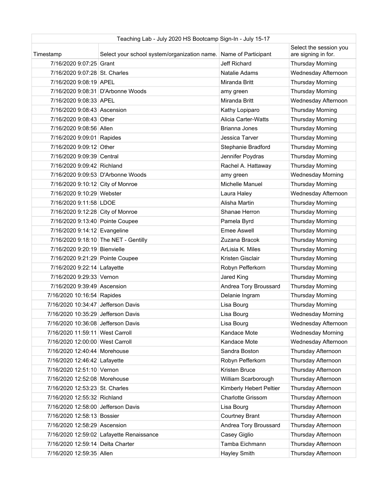| Teaching Lab - July 2020 HS Bootcamp Sign-In - July 15-17 |                                                                  |                          |                                               |
|-----------------------------------------------------------|------------------------------------------------------------------|--------------------------|-----------------------------------------------|
| Timestamp                                                 | Select your school system/organization name. Name of Participant |                          | Select the session you<br>are signing in for. |
| 7/16/2020 9:07:25 Grant                                   |                                                                  | Jeff Richard             | <b>Thursday Morning</b>                       |
| 7/16/2020 9:07:28 St. Charles                             |                                                                  | Natalie Adams            | Wednesday Afternoon                           |
| 7/16/2020 9:08:19 APEL                                    |                                                                  | Miranda Britt            | <b>Thursday Morning</b>                       |
|                                                           | 7/16/2020 9:08:31 D'Arbonne Woods                                | amy green                | <b>Thursday Morning</b>                       |
| 7/16/2020 9:08:33 APEL                                    |                                                                  | Miranda Britt            | Wednesday Afternoon                           |
| 7/16/2020 9:08:43 Ascension                               |                                                                  | Kathy Lopiparo           | <b>Thursday Morning</b>                       |
| 7/16/2020 9:08:43 Other                                   |                                                                  | Alicia Carter-Watts      | Thursday Morning                              |
| 7/16/2020 9:08:56 Allen                                   |                                                                  | Brianna Jones            | <b>Thursday Morning</b>                       |
| 7/16/2020 9:09:01 Rapides                                 |                                                                  | Jessica Tarver           | Thursday Morning                              |
| 7/16/2020 9:09:12 Other                                   |                                                                  | Stephanie Bradford       | <b>Thursday Morning</b>                       |
| 7/16/2020 9:09:39 Central                                 |                                                                  | Jennifer Poydras         | <b>Thursday Morning</b>                       |
| 7/16/2020 9:09:42 Richland                                |                                                                  | Rachel A. Hattaway       | <b>Thursday Morning</b>                       |
|                                                           | 7/16/2020 9:09:53 D'Arbonne Woods                                | amy green                | <b>Wednesday Morning</b>                      |
| 7/16/2020 9:10:12 City of Monroe                          |                                                                  | Michelle Manuel          | <b>Thursday Morning</b>                       |
| 7/16/2020 9:10:29 Webster                                 |                                                                  | Laura Haley              | Wednesday Afternoon                           |
| 7/16/2020 9:11:58 LDOE                                    |                                                                  | Alisha Martin            | <b>Thursday Morning</b>                       |
| 7/16/2020 9:12:28 City of Monroe                          |                                                                  | Shanae Herron            | Thursday Morning                              |
| 7/16/2020 9:13:40 Pointe Coupee                           |                                                                  | Pamela Byrd              | Thursday Morning                              |
| 7/16/2020 9:14:12 Evangeline                              |                                                                  | <b>Emee Aswell</b>       | Thursday Morning                              |
|                                                           | 7/16/2020 9:18:10 The NET - Gentilly                             | Zuzana Bracok            | Thursday Morning                              |
| 7/16/2020 9:20:19 Bienvielle                              |                                                                  | ArLisia K. Miles         | Thursday Morning                              |
| 7/16/2020 9:21:29 Pointe Coupee                           |                                                                  | Kristen Gisclair         | <b>Thursday Morning</b>                       |
| 7/16/2020 9:22:14 Lafayette                               |                                                                  | Robyn Pefferkorn         | Thursday Morning                              |
| 7/16/2020 9:29:33 Vernon                                  |                                                                  | Jared King               | <b>Thursday Morning</b>                       |
| 7/16/2020 9:39:49 Ascension                               |                                                                  | Andrea Tory Broussard    | <b>Thursday Morning</b>                       |
| 7/16/2020 10:16:54 Rapides                                |                                                                  | Delanie Ingram           | <b>Thursday Morning</b>                       |
| 7/16/2020 10:34:47 Jefferson Davis                        |                                                                  | Lisa Bourg               | <b>Thursday Morning</b>                       |
| 7/16/2020 10:35:29 Jefferson Davis                        |                                                                  | Lisa Bourg               | <b>Wednesday Morning</b>                      |
| 7/16/2020 10:36:08 Jefferson Davis                        |                                                                  | Lisa Bourg               | Wednesday Afternoon                           |
| 7/16/2020 11:59:11 West Carroll                           |                                                                  | Kandace Mote             | <b>Wednesday Morning</b>                      |
| 7/16/2020 12:00:00 West Carroll                           |                                                                  | Kandace Mote             | Wednesday Afternoon                           |
| 7/16/2020 12:40:44 Morehouse                              |                                                                  | Sandra Boston            | Thursday Afternoon                            |
| 7/16/2020 12:46:42 Lafayette                              |                                                                  | Robyn Pefferkorn         | Thursday Afternoon                            |
| 7/16/2020 12:51:10 Vernon                                 |                                                                  | Kristen Bruce            | Thursday Afternoon                            |
| 7/16/2020 12:52:08 Morehouse                              |                                                                  | William Scarborough      | Thursday Afternoon                            |
| 7/16/2020 12:53:23 St. Charles                            |                                                                  | Kimberly Hebert Peltier  | Thursday Afternoon                            |
| 7/16/2020 12:55:32 Richland                               |                                                                  | <b>Charlotte Grissom</b> | Thursday Afternoon                            |
| 7/16/2020 12:58:00 Jefferson Davis                        |                                                                  | Lisa Bourg               | Thursday Afternoon                            |
| 7/16/2020 12:58:13 Bossier                                |                                                                  | Courtney Brant           | Thursday Afternoon                            |
| 7/16/2020 12:58:29 Ascension                              |                                                                  | Andrea Tory Broussard    | Thursday Afternoon                            |
|                                                           | 7/16/2020 12:59:02 Lafayette Renaissance                         | Casey Giglio             | Thursday Afternoon                            |
| 7/16/2020 12:59:14 Delta Charter                          |                                                                  | Tamba Eichmann           | Thursday Afternoon                            |
| 7/16/2020 12:59:35 Allen                                  |                                                                  | Hayley Smith             | Thursday Afternoon                            |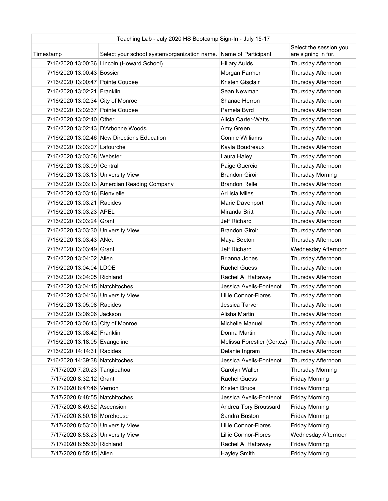| Teaching Lab - July 2020 HS Bootcamp Sign-In - July 15-17 |                                                                  |                            |                                               |
|-----------------------------------------------------------|------------------------------------------------------------------|----------------------------|-----------------------------------------------|
| Timestamp                                                 | Select your school system/organization name. Name of Participant |                            | Select the session you<br>are signing in for. |
|                                                           | 7/16/2020 13:00:36 Lincoln (Howard School)                       | <b>Hillary Aulds</b>       | Thursday Afternoon                            |
| 7/16/2020 13:00:43 Bossier                                |                                                                  | Morgan Farmer              | Thursday Afternoon                            |
| 7/16/2020 13:00:47 Pointe Coupee                          |                                                                  | Kristen Gisclair           | Thursday Afternoon                            |
| 7/16/2020 13:02:21 Franklin                               |                                                                  | Sean Newman                | Thursday Afternoon                            |
| 7/16/2020 13:02:34 City of Monroe                         |                                                                  | Shanae Herron              | Thursday Afternoon                            |
| 7/16/2020 13:02:37 Pointe Coupee                          |                                                                  | Pamela Byrd                | Thursday Afternoon                            |
| 7/16/2020 13:02:40 Other                                  |                                                                  | Alicia Carter-Watts        | Thursday Afternoon                            |
| 7/16/2020 13:02:43 D'Arbonne Woods                        |                                                                  | Amy Green                  | Thursday Afternoon                            |
|                                                           | 7/16/2020 13:02:46 New Directions Education                      | Connie Williams            | Thursday Afternoon                            |
| 7/16/2020 13:03:07 Lafourche                              |                                                                  | Kayla Boudreaux            | Thursday Afternoon                            |
| 7/16/2020 13:03:08 Webster                                |                                                                  | Laura Haley                | Thursday Afternoon                            |
| 7/16/2020 13:03:09 Central                                |                                                                  | Paige Guercio              | Thursday Afternoon                            |
| 7/16/2020 13:03:13 University View                        |                                                                  | <b>Brandon Giroir</b>      | <b>Thursday Morning</b>                       |
|                                                           | 7/16/2020 13:03:13 Amercian Reading Company                      | <b>Brandon Relle</b>       | Thursday Afternoon                            |
| 7/16/2020 13:03:16 Bienvielle                             |                                                                  | <b>ArLisia Miles</b>       | Thursday Afternoon                            |
| 7/16/2020 13:03:21 Rapides                                |                                                                  | Marie Davenport            | Thursday Afternoon                            |
| 7/16/2020 13:03:23 APEL                                   |                                                                  | Miranda Britt              | Thursday Afternoon                            |
| 7/16/2020 13:03:24 Grant                                  |                                                                  | Jeff Richard               | Thursday Afternoon                            |
| 7/16/2020 13:03:30 University View                        |                                                                  | <b>Brandon Giroir</b>      | Thursday Afternoon                            |
| 7/16/2020 13:03:43 ANet                                   |                                                                  | Maya Becton                | Thursday Afternoon                            |
| 7/16/2020 13:03:49 Grant                                  |                                                                  | Jeff Richard               | Wednesday Afternoon                           |
| 7/16/2020 13:04:02 Allen                                  |                                                                  | Brianna Jones              | Thursday Afternoon                            |
| 7/16/2020 13:04:04 LDOE                                   |                                                                  | <b>Rachel Guess</b>        | Thursday Afternoon                            |
| 7/16/2020 13:04:05 Richland                               |                                                                  | Rachel A. Hattaway         | Thursday Afternoon                            |
| 7/16/2020 13:04:15 Natchitoches                           |                                                                  | Jessica Avelis-Fontenot    | Thursday Afternoon                            |
|                                                           |                                                                  |                            |                                               |
| 7/16/2020 13:04:36 University View                        |                                                                  | Lillie Connor-Flores       | Thursday Afternoon                            |
| 7/16/2020 13:05:08 Rapides                                |                                                                  | Jessica Tarver             | Thursday Afternoon                            |
| 7/16/2020 13:06:06 Jackson                                |                                                                  | Alisha Martin              | Thursday Afternoon                            |
| 7/16/2020 13:06:43 City of Monroe                         |                                                                  | Michelle Manuel            | Thursday Afternoon                            |
| 7/16/2020 13:08:42 Franklin                               |                                                                  | Donna Martin               | Thursday Afternoon                            |
| 7/16/2020 13:18:05 Evangeline                             |                                                                  | Melissa Forestier (Cortez) | Thursday Afternoon                            |
| 7/16/2020 14:14:31 Rapides                                |                                                                  | Delanie Ingram             | Thursday Afternoon                            |
| 7/16/2020 14:39:38 Natchitoches                           |                                                                  | Jessica Avelis-Fontenot    | Thursday Afternoon                            |
| 7/17/2020 7:20:23 Tangipahoa                              |                                                                  | Carolyn Waller             | <b>Thursday Morning</b>                       |
| 7/17/2020 8:32:12 Grant                                   |                                                                  | <b>Rachel Guess</b>        | <b>Friday Morning</b>                         |
| 7/17/2020 8:47:46 Vernon                                  |                                                                  | Kristen Bruce              | <b>Friday Morning</b>                         |
| 7/17/2020 8:48:55 Natchitoches                            |                                                                  | Jessica Avelis-Fontenot    | <b>Friday Morning</b>                         |
| 7/17/2020 8:49:52 Ascension                               |                                                                  | Andrea Tory Broussard      | <b>Friday Morning</b>                         |
| 7/17/2020 8:50:16 Morehouse                               |                                                                  | Sandra Boston              | <b>Friday Morning</b>                         |
| 7/17/2020 8:53:00 University View                         |                                                                  | Lillie Connor-Flores       | <b>Friday Morning</b>                         |
| 7/17/2020 8:53:23 University View                         |                                                                  | Lillie Connor-Flores       | Wednesday Afternoon                           |
| 7/17/2020 8:55:30 Richland                                |                                                                  | Rachel A. Hattaway         | <b>Friday Morning</b>                         |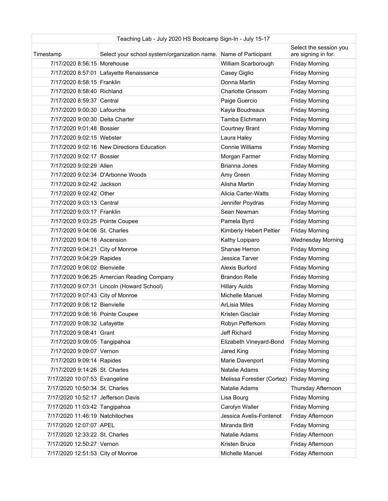| Teaching Lab - July 2020 HS Bootcamp Sign-In - July 15-17 |                                                                  |                            |                                               |
|-----------------------------------------------------------|------------------------------------------------------------------|----------------------------|-----------------------------------------------|
| Timestamp                                                 | Select your school system/organization name. Name of Participant |                            | Select the session you<br>are signing in for. |
| 7/17/2020 8:56:15 Morehouse                               |                                                                  | William Scarborough        | <b>Friday Morning</b>                         |
|                                                           | 7/17/2020 8:57:01 Lafayette Renaissance                          | Casey Giglio               | <b>Friday Morning</b>                         |
| 7/17/2020 8:58:15 Franklin                                |                                                                  | Donna Martin               | <b>Friday Morning</b>                         |
| 7/17/2020 8:58:40 Richland                                |                                                                  | <b>Charlotte Grissom</b>   | <b>Friday Morning</b>                         |
| 7/17/2020 8:59:37 Central                                 |                                                                  | Paige Guercio              | <b>Friday Morning</b>                         |
| 7/17/2020 9:00:30 Lafourche                               |                                                                  | Kayla Boudreaux            | <b>Friday Morning</b>                         |
| 7/17/2020 9:00:30 Delta Charter                           |                                                                  | Tamba Elchmann             | <b>Friday Morning</b>                         |
| 7/17/2020 9:01:48 Bossier                                 |                                                                  | <b>Courtney Brant</b>      | <b>Friday Morning</b>                         |
| 7/17/2020 9:02:15 Webster                                 |                                                                  | Laura Haley                | <b>Friday Morning</b>                         |
|                                                           | 7/17/2020 9:02:16 New Directions Education                       | <b>Connie Williams</b>     | <b>Friday Morning</b>                         |
| 7/17/2020 9:02:17 Bossier                                 |                                                                  | Morgan Farmer              | <b>Friday Morning</b>                         |
| 7/17/2020 9:02:29 Allen                                   |                                                                  | Brianna Jones              | <b>Friday Morning</b>                         |
|                                                           | 7/17/2020 9:02:34 D'Arbonne Woods                                | Amy Green                  | <b>Friday Morning</b>                         |
| 7/17/2020 9:02:42 Jackson                                 |                                                                  | Alisha Martin              | <b>Friday Morning</b>                         |
| 7/17/2020 9:02:42 Other                                   |                                                                  | Alicia Carter-Watts        | <b>Friday Morning</b>                         |
| 7/17/2020 9:03:13 Central                                 |                                                                  | Jennifer Poydras           | <b>Friday Morning</b>                         |
| 7/17/2020 9:03:17 Franklin                                |                                                                  | Sean Newman                | <b>Friday Morning</b>                         |
| 7/17/2020 9:03:25 Pointe Coupee                           |                                                                  | Pamela Byrd                | <b>Friday Morning</b>                         |
| 7/17/2020 9:04:06 St. Charles                             |                                                                  | Kimberly Hebert Peltier    | <b>Friday Morning</b>                         |
| 7/17/2020 9:04:18 Ascension                               |                                                                  | Kathy Lopiparo             | <b>Wednesday Morning</b>                      |
| 7/17/2020 9:04:21 City of Monroe                          |                                                                  | Shanae Herron              | <b>Friday Morning</b>                         |
| 7/17/2020 9:04:29 Rapides                                 |                                                                  | Jessica Tarver             | <b>Friday Morning</b>                         |
| 7/17/2020 9:06:02 Bienvielle                              |                                                                  | Alexis Burford             | <b>Friday Morning</b>                         |
|                                                           | 7/17/2020 9:06:25 Amercian Reading Company                       | <b>Brandon Relle</b>       | <b>Friday Morning</b>                         |
|                                                           | 7/17/2020 9:07:31 Lincoln (Howard School)                        | <b>Hillary Aulds</b>       | <b>Friday Morning</b>                         |
| 7/17/2020 9:07:43 City of Monroe                          |                                                                  | Michelle Manuel            | <b>Friday Morning</b>                         |
| 7/17/2020 9:08:12 Bienvielle                              |                                                                  | <b>ArLisia Miles</b>       | <b>Friday Morning</b>                         |
| 7/17/2020 9:08:16 Pointe Coupee                           |                                                                  | Kristen Gisclair           | <b>Friday Morning</b>                         |
| 7/17/2020 9:08:32 Lafayette                               |                                                                  | Robyn Pefferkorn           | <b>Friday Morning</b>                         |
| 7/17/2020 9:08:41 Grant                                   |                                                                  | Jeff Richard               | <b>Friday Morning</b>                         |
| 7/17/2020 9:09:05 Tangipahoa                              |                                                                  | Elizabeth Vineyard-Bond    | <b>Friday Morning</b>                         |
| 7/17/2020 9:09:07 Vernon                                  |                                                                  | Jared King                 | <b>Friday Morning</b>                         |
| 7/17/2020 9:09:14 Rapides                                 |                                                                  | Marie Davenport            | <b>Friday Morning</b>                         |
| 7/17/2020 9:14:26 St. Charles                             |                                                                  | Natalie Adams              | <b>Friday Morning</b>                         |
| 7/17/2020 10:07:53 Evangeline                             |                                                                  | Melissa Forestier (Cortez) | <b>Friday Morning</b>                         |
| 7/17/2020 10:50:34 St. Charles                            |                                                                  | Natalie Adams              | Thursday Afternoon                            |
| 7/17/2020 10:52:17 Jefferson Davis                        |                                                                  | Lisa Bourg                 | <b>Friday Morning</b>                         |
| 7/17/2020 11:03:42 Tangipahoa                             |                                                                  | Carolyn Waller             | <b>Friday Morning</b>                         |
| 7/17/2020 11:46:19 Natchitoches                           |                                                                  | Jessica Avelis-Fontenot    | Friday Afternoon                              |
| 7/17/2020 12:07:07 APEL                                   |                                                                  | Miranda Britt              | <b>Friday Morning</b>                         |
| 7/17/2020 12:33:22 St. Charles                            |                                                                  | Natalie Adams              | Friday Afternoon                              |
| 7/17/2020 12:50:27 Vernon                                 |                                                                  | Kristen Bruce              | Friday Afternoon                              |
| 7/17/2020 12:51:53 City of Monroe                         |                                                                  | Michelle Manuel            | Friday Afternoon                              |